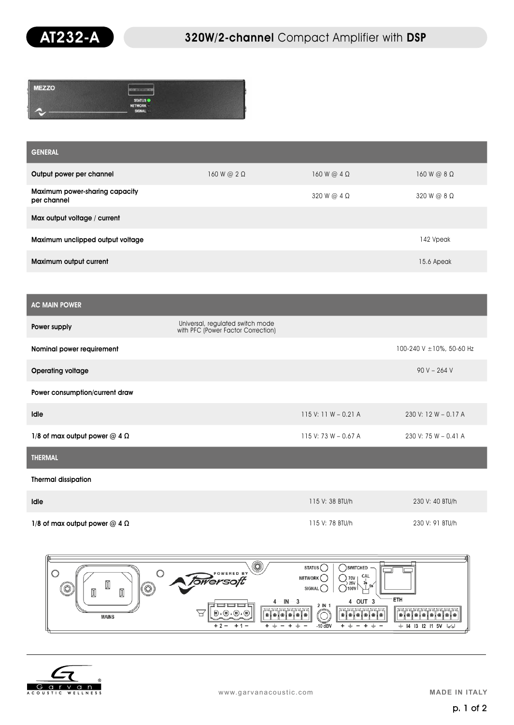

| <b>MEZZO</b> | Gotton                                           |  |
|--------------|--------------------------------------------------|--|
|              | <b>STATUS</b><br><b>NETWORK</b><br><b>SIGNAL</b> |  |
|              |                                                  |  |

| <b>GENERAL</b>                                |                      |                    |                    |
|-----------------------------------------------|----------------------|--------------------|--------------------|
| Output power per channel                      | $160$ W @ 2 $\Omega$ | $160W@4\Omega$     | $160W@8\Omega$     |
| Maximum power-sharing capacity<br>per channel |                      | $320 W @ 4 \Omega$ | $320 W @ 8 \Omega$ |
| Max output voltage / current                  |                      |                    |                    |
| Maximum unclipped output voltage              |                      |                    | 142 Vpeak          |
| Maximum output current                        |                      |                    | 15.6 Apeak         |

|  | <b>AC MAIN POWER</b> |
|--|----------------------|

| Power supply                           | Universal, regulated switch mode<br>with PFC (Power Factor Correction) |                        |                           |
|----------------------------------------|------------------------------------------------------------------------|------------------------|---------------------------|
| Nominal power requirement              |                                                                        |                        | 100-240 V ± 10%, 50-60 Hz |
| <b>Operating voltage</b>               |                                                                        |                        | $90 V - 264 V$            |
| Power consumption/current draw         |                                                                        |                        |                           |
| Idle                                   |                                                                        | $115$ V: 11 W - 0.21 A | $230$ V: 12 W - 0.17 A    |
| 1/8 of max output power $@$ 4 $\Omega$ |                                                                        | 115 V: 73 W - 0.67 A   | $230$ V: 75 W - 0.41 A    |
| <b>THERMAL</b>                         |                                                                        |                        |                           |

Thermal dissipation

| Idle                                   | 115 V: 38 BTU/h | 230 V: 40 BTU/h |
|----------------------------------------|-----------------|-----------------|
| 1/8 of max output power $@$ 4 $\Omega$ | 115 V: 78 BTU/h | 230 V: 91 BTU/h |